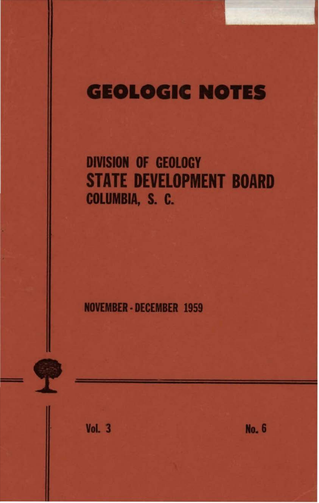# **GEOLOGIC NOTES**

## **DIVISION OF GEOLOGY STATE DEVELOPMENT BOARD** COLUMBIA, S. C.

**NOVEMBER - DECEMBER 1959** 



**Vol. 3** 

**No. 6**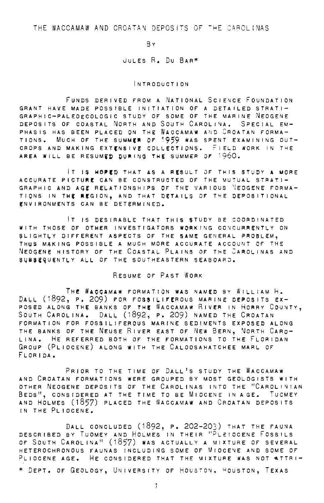THE WACCAMAW AND CROATAN DEPOSITS OF THE CAROLINAS

BY

#### JuLES R. Du BAR\*

#### INTRODUCTION

FUNDS DERIVED FROM A NATIONAL SCIENCE FOUNDATION GRANT HAVE MADE POSSIBLE INITIATION OF A DETAILED STRATI-GRAPHIC-PALEOECOLOGIC STUDY OF SOME OF THE MARINE NEOGENE DEPOSITS OF COASTAL NORTH AND SOUTH CAROLINA, SPECIAL EM-PHASIS HAS BEEN PLACED ON THE WACCAMAW AND CROATAN FORMA-TIONS. MUCH OF THE SUMMER OF 1959 WAS SPENT EXAMINING OUT-CROPS AND MAKING EXTENSIVE COLLECTIONS, FIELD WORK IN THE AREA WILL BE RESUMED DURING THE SUMMER OF  $1960.$ 

IT IS HOPED THAT AS A RESULT OF THIS STUDY A MORE ACCURATE PICTURE CAN BE CONSTRUCTED OF THE MUTUAL STRATI-GRAPHIC AND AGE RELATIONSHIPS OF THE VARIOUS VEOGENE FORMA-TIONS IN THE REGION, AND THAT DETAILS OF THE DEPOSITIONAL ENVIRONMENTS CAN BE DETERMINED.

IT IS DESIRABLE THAT THIS STUDY BE COORDINATED WITH THOSE OF OTHER INVESTIGATORS WORKING CONCURRENTLY ON SLIGHTLY DIFFERENT ASPECTS OF THE SAME GENERAL PROBLEM, THUS MAKING POSSIBLE A MUCH MORE ACCURATE ACCOUNT OF THE NEOGENE HISTORY OF THE COASTAL PLAINS OF THE CAROLINAS AND SUBSEQUENTLY ALL OF THE SOUTHEASTERN SEABOARD,

#### RESUME OF PAST WORK

THE WACCAMAW FORMATION WAS NAMED BY WILLIAM H. DALL (1892, P. 209) FOR FOSSILIFEROUS MARINE DEPOSITS EX-POSED ALONG THE BANKS OF THE WACCAMAW RIVER IN HORRY COUNTY, SOUTH CAROLINA. DALL (1892, P. 209) NAMED THE CROATAN FORMATION FOR FOSSILIFEROUS MARINE SEDIMENTS EXPOSED ALONG THE BANKS OF THE NEUSE RIVER EAST OF NEW BERN, NORTH CARO-LINA, HE REFERRED BOTH OF THE FORMATIONS TO THE FLORIDAN GROUP (PLIOCENE) ALONG WITH THE CALOOSAHATCHEE MARL OF FLORIDA,

PRIOR TO THE TIME OF DALL'S STUDY THE WACCAMAW AND CROATAN FORMATIONS WERE GROUPED BY MOST GEOLOGISTS WITH OTHER NEOGENE DEPOSITS OF THE CAROLINAS INTO THE "CAROLINIAN BEDs", CONSIDERED AT THE TIME TO BE MIOCENE IN AGE. TUCMEY AND HOLMES (1857) PLACED THE WACCAMAW AND CROATAN DEPOSITS IN THE PLIOCENE,

DALL CONCLUDED (1892, P. 202-203) THAT THE FAUNA DESCRIBED BY TuOMEY AND HOLMES IN THEIR "PLE:IOCENE FOSSILS OF SOUTH CAROLINA" (1857) WAS ACTUALLY A MIXTURE OF SEVERAL HETEROCHRONOUS FAUNAS INCLUDING SOME OF MIOCENE AND SOME OF PLIOCENE AGE, HE CONSIDERED THAT THE MIXTURE WAS NOT STTRI-

\* DEPT. OF GEOLOGY, UNIVERSITY OF HOUSTON, HOUSTON, TEXAS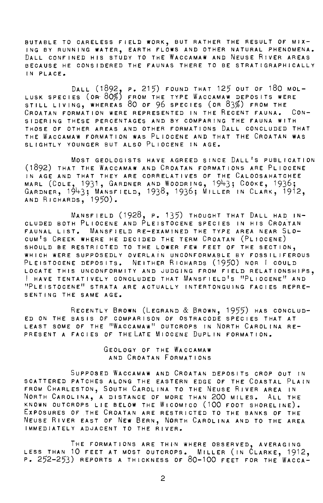BUTABLE TO CARELESS FIELD WORK, BUT RATHER THE RESULT OF MIX-ING BY RUNNING WATER, EARTH FLOWS AND OTHER NATURAL PHENOMENA. DALL CONFINED HIS STUDY TO THE WACCAMAW AND NEUSE RIVER AREAS BECAUSE HE CONSIDERED THE FAUNAS THERE TO BE STRATIGRAPHICALLY IN PLACE.

Dall (1892, p. 215) found that 125 out of 180 mol-LUSK SPECIES (OR 80%) FROM THE TYPE WACCAMAW DEPOSITS WERE STILL LIVING, WHEREAS 80 OF 96 SPECIES (OR 83%) FROM THE CROATAN FORMATION WERE REPRESENTED IN THE RECENT FAUNA. CON-SIDERING THESE PERCENTAGES AND BY COMPARING THE FAUNA WITH THOSE OF OTHER AREAS AND OTHER FORMATIONS DALL CONCLUDED THAT THE WACCAMAW FORMATION WAS PLIOCENE AND THAT THE CROATAN WAS SLIGHTLY YOUNGER BUT ALSO PLIOCENE IN AGE.

MOST GEOLOGISTS HAVE AGREED SINCE DALL'S PUBLICATION (1892) THAT THE WACCAMAW AND CROATAN FORMATIONS ARE PLIOCENE IN AGE AND THAT THEY ARE CORRELATIVES OF THE CALOOSAHATCHEE MARL (COLE, 1931, GARDNER AND WOODRING, 1943; COOKE, 1936; GARDNER, 1943; MÁNSFIELD, 1938, 1936; MILLER IN CLARK, 1912, AND RICHARDS, 1950).

MANSFIELD (1928, P. 135) THOUGHT THAT DALL HAD IN-CLUDED BOTH PLIOCENE AND PLEISTOCENE SPECIES IN HIS CROATAN FAUNAL LIST. MANSFIELD RE-EXAMINED THE TYPE AREA NEAR SLO-CUM1S CREEK WHERE HE DECIDED THE TERM CROATAN (PLIOCENE) SHOULD BE RESTRICTED TO THE LOWER FEW FEET OF THE SECTION, WHICH WERE SUPPOSEDLY OVERLAIN UNCONFORMABLE BY FOSSILIFEROUS PLEISTOCENE DEPOSITS. NEITHER RICHARDS (1950) NOR I COULD LOCATE THIS UNCONFORMITY AND JUDGING FROM FIELD RELATIONSHIPs, I HAVE TENTATIVELY CONCLUDED THAT MANSFIELD'S "PLIOCENE" AND<br>"PLEISTOCENE" STRATA ARE ACTUALLY INTERTONGUING FACIES REPRE-SENTING THE SAME AGE.

RECENTLY BROWN (LEGRAND & BROWN, 1955) HAS CONCLUD-ED ON THE BASIS OF COMPARISON OF OSTRACODE SPECIES THAT AT LEAST SOME OF THE "WACCAMAW" OUTCROPS IN NORTH CAROLINA RE-PRESENT A FACIES OF THE LATE MIOCENE DUPLIN FORMATION.

> GEOLOGY OF THE WACCAMAW AND CROATAN FORMATIONS

SuPPOSED WACCAMAW AND CROATAN DEPOSITS CROP OUT IN SCATTERED PATCHES ALONG THE EASTERN EDGE OF THE COASTAL PLAIN FROM CHARLESTON, SOUTH CAROLINA TO THE NEUSE RiVER AREA IN NORTH CAROLINA, A DISTANCE OF MORE THAN 200 MILES. ALL THE KNOWN OUTCROPS LIE BELOW THE WiCOMICO (100 FOOT SHORELINE). EXPOSURES OF THE CROATAN ARE RESTRICTED TO THE BANKS OF THE NEUSE RIVER EAST OF NEW BERN, NORTH CAROLINA AND TO THE AREA IMMEDIATELY ADJACENT TO THE RIVER.

THE FORMATIONS ARE THIN WHERE OBSERVED, AVERAGING LESS THAN 10 FEET AT MOST OUTCROPs. MILLER (IN CLARKE, 1912, P. 252-253) REPORTS A THICKNESS OF 80-100 FEET FOR THE WACCA-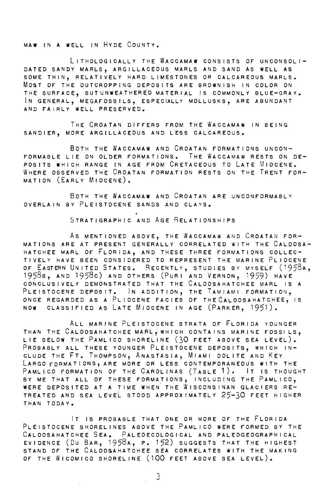MAW IN A WELL IN HYDE COUNTY.

LITHOLOGICALLY THE WACCAMAW CONSISTS OF UNCONSOLI-DATED SANDY MARLs, ARGILLACEOUS MARLS AND SAND AS WELL AS SOME THIN, RELATIVELY HARD LIMESTONES OR CALCAREOUS MARLS. MOST OF THE OUTCROPPING DEPOSITS ARE BROWNISH IN COLOR ON THE SURFACE, BUTUNWEATHERED MATERIAL IS COMMONLY BLUE-GRAY. IN GENERAL, MEGAFOSSILS, ESPECIALLY MOLLUSKS, ARE ABUNDANT AND FAIRLY WELL PRESERVED.

THE CROATAN DIFFERS FROM THE WACCAMAW IN BEING SANDIER, MORE ARGILLACEOUS AND LESS CALCAREOUS.

BOTH THE WACCAMAW AND CROATAN FORMATIONS UNCON-FORMABLE LIE ON OLDER FORMATIONS. THE WACCAMAW RESTS ON DE-POSITS WHICH RANGE IN AGE FROM CRETACEOUS TO LATE MIOCENE. WHERE OBSERVED THE CROATAN FORMATION RESTS ON THE TRENT FOR-MATION (EARLY MIOCENE).

BOTH THE WACCAMAW AND CROATAN ARE UNCONFORMABLY OVERLAIN BY PLEISTOCENE SANDS AND CLAYS.

STRATIGRAPHIC AND AGE RELATIONSHIPS

As MENTIONED ABOVE, THE WACCAMAW AND CROATAN FOR-MATIONS ARE AT PRESENT GENERALLY CORRELATED WITH THE CALOOSA-HATCHEE MARL OF FLORIDA, AND THESE THREE FORMATIONS COLLEC-TIVELY HAVE BEEN CONSIDERED TO REPRESENT THE MARINE PLIOCENE OF EASTERN UNITED STATES. RECENTLY, STUDIES BY MYSELF (1958A, 1958B, AND 1958c) AND OTHERS (PURI AND VERNON, 1959) HAVE CONCLUSIVELY DEMONSTRATED THAT THE CALOOSAHATCHEE MARL IS A PLEISTOCENE DEPOSIT. IN ADDITION, THE TAMIAMI FORMATION, ONCE REGARDED AS A PLIOCENE FACIES OF THECALOOSAHATCHEE, IS NOW CLASSIFIED AS LATE MIOCENE IN AGE (PARKER, 1951).

ALL MARINE PLEISTOCENE STRATA OF FLORIDA YOUNGER THAN THE CALOOSAHATCHEE MARL, WHICH CONTAINS MARINE FOSSILS. LIE BELOW THE PAMLICO SHORELINE (30 FEET ABOVE SEA LEVEL). PROBABLY ALL THESE YOUNGER PLEISTOCENE DEPOSITS, WHICH IN-CLUDE THE FT. THOMPSON, ANASTASIA, MIAMI OOLITE AND KEY LARGO FORMATIONS, ARE MORE OR LESS CONTEMPORANEOUS WITH THE PAMLICO FORMATION OF THE CAROLINAS (TABLE 1). IT IS THOUGHT BY ME THAT ALL OF THESE FORMATIONS, INCLUDING THE PAMLICO, WERE DEPOSITED AT A TIME WHEN. THE WISCONSINAN GLACIERS RE-TREATED AND SEA LEVEL STOOD APPROXIMATELY 25-30 FEET HIGHER THAN TODAY.

IT IS PROBABLE THAT ONE OR MORE OF THE FLORIDA PLEISTOCENE SHORELINES ABOVE THE PAMLICO WERE FORMED BY THE CALOOSAHATCHEE SEA. PALEOECOLOGICAL AND PALEOGEOGRAPHICAL EVIDENCE (Du BAR, 1958A, P. 152) SUGGESTS THAT THE HIGHEST STAND OF THE CALOOSAHATCHEE SEA CORRELATES WITH THE MAKING OF THE WICOMICO SHORELINE (100 FEET ABOVE SEA LEVEL).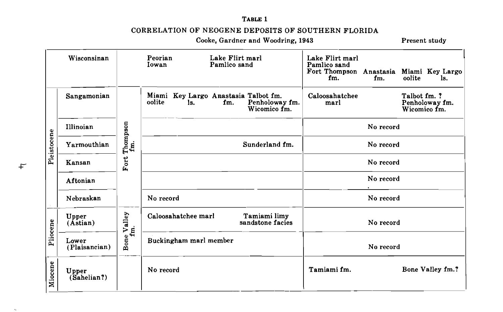TABLE 1

### CORRELATION OF NEOGENE DEPOSITS OF SOUTHERN FLORIDA

Cooke, Gardner and Woodring, 1943

Present study

| Wisconsinan |                             | Lake Flirt marl<br>Peorian<br>Pamlico sand<br>Iowan |                                                                                                | Lake Flirt marl<br>Pamlico sand<br>Fort Thompson<br>fm.<br>fm. | Anastasia Miami Key Largo<br>oolite<br>ls.     |
|-------------|-----------------------------|-----------------------------------------------------|------------------------------------------------------------------------------------------------|----------------------------------------------------------------|------------------------------------------------|
| Pleistocene | Sangamonian                 | Thompson<br>ġ<br>Fort                               | Miami Key Largo Anastasia Talbot fm.<br>Penholoway fm.<br>oolite<br>ls.<br>fm.<br>Wicomico fm. | Caloosahatchee<br>marl                                         | Talbot fm. ?<br>Penholoway fm.<br>Wicomico fm. |
|             | Illinoian                   |                                                     |                                                                                                | No record                                                      |                                                |
|             | Yarmouthian                 |                                                     | Sunderland fm.                                                                                 | No record                                                      |                                                |
|             | Kansan                      |                                                     |                                                                                                | No record                                                      |                                                |
|             | Aftonian                    |                                                     |                                                                                                | No record                                                      |                                                |
|             | Nebraskan                   |                                                     | No record                                                                                      | No record                                                      |                                                |
| Pliocene    | Upper<br>(Astian)           | Valley                                              | Caloosahatchee marl<br>Tamiami limy<br>sandstone facies                                        | No record                                                      |                                                |
|             | Lower<br>(Plaisancian)      | Bone Va<br>fm.                                      | Buckingham marl member                                                                         | No record                                                      |                                                |
| Miocene     | <b>Upper</b><br>(Sahelian?) |                                                     | No record                                                                                      | Tamiami fm.                                                    | Bone Valley fm.?                               |

 $\ddot{+}$ 

 $\Delta\mu$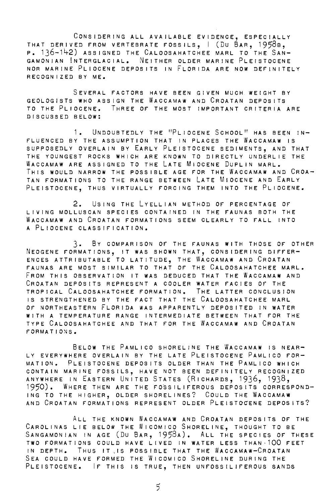CONSIDERING ALL AVAILABLE EVIDENCE, ESPECIALLY THAT DERIVED FROM VERTEBRATE FOSSILS, 1 (DU BAR, 1958b, P. 136-142) ASSIGNED THE CALOOSAHATCHEE MARL TO THE SAN-GAMONIAN INTERGLACIAL. NEITHER OLDER MARINE PLEISTOCENE NOR MARINE PLIOCENE DEPOSITS IN FLORIDA ARE NOW DEFINITELY RECOGNIZED BY ME.

SEVERAL FACTORS HAVE BEEN GIVEN MUCH WEIGHT BY GEOLOGISTS WHO ASSIGN THE WACCAMAW AND CROATAN DEPOSITS TO THE PLIOCENE. THREE OF THE MOST IMPORTANT CRITERIA ARE DISCUSSED BELOW:

1. UNDOUBTEDLY THE "PLIOCENE SCHOOL" HAS BEEN IN-FLUENCED BY THE ASSUMPTION THAT IN PLACES THE WACCAMAW IS SUPPOSEDLY OVERLAIN BY EARLY PLEISTOCENE SEDIMENTs, AND THAT THE YOUNGEST ROCKS WHICH ARE KNOWN TO DIRECTLY UNDERLIE THE WACCAMAW ARE ASSIGNED TO THE LATE MIOCENE DUPLIN MARL. THIS WOULD NARROW THE POSSIBLE AGE FOR THE WACCAMAW AND CROA-TAN FORMATIONS TO THE RANGE BETWEEN LATE MIOCENE AND EARLY PLEISTOCENE, THUS VIRTUALLY FORCING THEM INTO THE PLIOCENE.

2. USING THE LYELLIAN METHOD OF PERCENTAGE OF LIVING MOLLUSCAN SPECIES CONTAINED IN THE FAUNAS BOTH THE WACCAMAW AND CROATAN FORMATIONS SEEM CLEARLY TO FALL INTO A PLIOCENE CLASSIFICATION.

3· BY COMPARISON OF THE FAUNAS WITH THOSE OF OTHER NEOGENE FORMATIONS, IT WAS SHOWN THAT, CONSIDERING DIFFER-ENCES ATTRIBUTABLE TO LATITUDE, THE WACCAMAW AND CROATAN FAUNAS ARE MOST SIMILAR TO THAT OF THE CALOOSAHATCHEE MARL. FROM THIS OBSERVATION IT WAS DEDUCED THAT THE WACCAMAW AND CROATAN DEPOSITS REPRESENT A COOLER WATER FACIES OF THE TROPICAL CALOOSAHATCHEE FORMATION. THE LATTER CONCLUSION IS STRENGTHENED BY THE FACT THAT THE CALOOSAHATCHEE MARL OF NORTHEASTERN FLORIDA WAS APPARENTLY DEPOSITED IN WATER WITH A TEMPERATURE RANGE INTERMEDIATE BETWEEN THAT FOR THE TYPE CALOOSAHATCHEE AND THAT FOR THE WACCAMAW AND CROATAN FORMATIONS.

BELOW THE PAMLICO SHORELINE THE WACCAMAW IS NEAR-LY EVERYWHERE OVERLAIN BY THE LATE PLEISTOCENE PAMLICO FOR-MATION. PLEISTOCENE DEPOSITS OLDER THAN THE PAMLICO WHICH CONTAIN MARINE FOSSILS, HAVE NOT BEEN DEFINITELY RECOGNIZED ANYWHERE IN EASTERN UNITED STATES (RICHARDS, 1936, 1938, 1950). WHERE THEN ARE THE FOSSILIFEROUS DEPOSITS CORRESPOND-ING TO THE HIGHER, OLDER SHORELINES? COULD THE WACCAMAW AND CROATAN FORMATIONS REPRESENT OLDER PLEISTOCENE DEPOSITS?

ALL THE KNOWN WACCAMAW AND CROATAN DEPOSITS OF THE CAROLINAS LIE BELOW THE WiCOMICO SHORELINE, THOUGHT TO BE SANGAMONIAN IN AGE (DU BAR, 1958A). ALL THE SPECIES OF THESE TWO FORMATIONS COULD HAVE LIVED IN WATER LESS THAN-100 FEET IN DEPTH. THUS IT IS POSSIBLE THAT THE WACCAMAW-CROATAN SEA COULD HAVE FORMED THE WiCOMICO SHORELINE DURING THE PLEISTOCENE. IF THIS IS TRUE, THEN UNFOSSILIFEROUS SANDS

5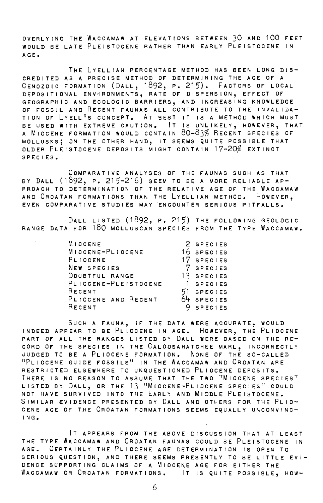OVERLYING THE WACCAMAW AT ELEVATIONS BETWEEN 30 AND 100 FEET WOULD BE LATE PLEISTOCENE RATHER THAN EARLY PLEISTOCENE IN AGE.

THE LYELLIAN PERCENTAGE METHOD HAS BEEN LONG DIS-CREDITED AS A PRECISE METHOD OF DETERMINING THE AGE OF A CENOZOIC FORMATION (DALL, 1892, P. 215). FACTORS OF LOCAL DEPOSITIONAL ENVIRONMENTS, RATE OF DISPERSION, EFFECT OF GEOGRAPHIC AND ECOLOGIC BARRIERS, AND INCREASING KNOWLEDGE OF FOSSIL AND RECENT FAUNAS ALL CONTRIBUTE TO THE INVALIDA-TION OF LYELL 1S CONCEPT. AT BEST IT IS A METHOD WHICH MUST BE USED WITH EXTREME CAUTION. IT IS UNLIKELY, HOWEVER, THAT<br>A MIOCENE FORMATION WOULD CONTAIN 80-83% RECENT SPECIES OF MOLLUSKs; ON THE OTHER HAND, IT SEEMS QUITE POSSIBLE THAT OLDER PLEISTOCENE DEPOSITS MIGHT CONTAIN 17-20% EXTINCT SPECIES.

COMPARATIVE ANALYSES OF THE FAUNAS SUCH AS THAT BY DALL (1892, P. 215-216) SEEM TO BE A MORE RELIABLE AP-PROACH TO DETERMINATION OF THE RELATIVE AGE OF THE WACCAMAW AND CROATAN FORMATIONS THAN THE LYELLIAN METHOD. HOWEVER, EVEN COMPARATIVE STUDIES MAY ENCOUNTER SERIOUS PITFALLS.

DALL LISTED (1892, P. 215) THE FOLLOWING GEOLOGIC RANGE DATA FOR 180 MOLLUSCAN SPECIES FROM THE TYPE WACCAMAW.

| MIOCENE              | 2 SPECIES      |
|----------------------|----------------|
| MIOCENE-PLIOCENE     | 16 SPECIES     |
| PLIOCENE             | 17 SPECIES     |
| NEW SPECIES          | 7 SPECIES      |
| DOUBTFUL RANGE       | 13 SPECIES     |
| PLIOCENE-PLEISTOCENE | 1 SPECIES      |
| RECENT               | 51 SPECIES     |
| PLIOCENE AND RECENT  | 64 SPECIES     |
| RECENT               | <b>SPECIES</b> |

SUCH A FAUNA, IF THE DATA WERE ACCURATE, WOULD INDEED APPEAR TO BE PLIOCENE IN AGE. HOWEVER, THE PLIOCENE PART OF ALL THE RANGES LISTED BY DALL WERE BASED ON THE RE-CORD OF THE SPECIES IN THE CALOOSAHATCHEE MARL, INCORRECTLY uUDGED TO BE A PLIOCENE FORMATION. NONE OF THE SO-CALLED "PLIOCENE GUIDE FOSSILS" IN THE WACCAMAW AND CROATAN ARE RESTRICTED ELSEWHERE TO UNQUESTIONED PLIOCENE DEPOSITS. THERE IS NO REASON TO ASSUME THAT THE TWO "MIOCENE SPECIES" LISTED BY DALL, OR THE 13 "MIOCENE-PLIOCENE SPECIES" COULD NOT HAVE SURVIVED INTO THE EARLY AND MIDDLE PLEISTOCENE. SIMILAR £VIDENCE PRESENTED BY DALL AND OTHERS FOR THE PLIO-CENE AGE OF THE CROATAN FORMATIONS SEEMS EQUALLY UNCONVINC-ING.

IT APPEARS FROM THE ABOVE DISCUSSION THAT AT LEAST THE TYPE WACCAMAW AND CROATAN FAUNAS COULD BE PLEISTOCENE IN AGE. CERTAINLY THE PLIOCENE AGE DETERMINATION IS OPEN TO SERIOUS QUESTION, AND THERE SEEMS PRESENTLY TO BE LITTLE EVI-DENCE SUPPORTING CLAIMS OF A MIOCENE AGE FOR EITHER THE WACCAMAW OR CROATAN FORMATIONS. IT IS QUITE POSSIBLE, HOW-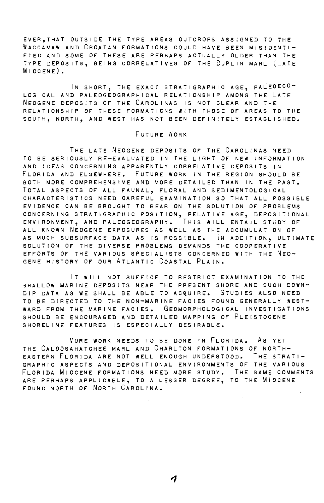EVER,THAT OUTSIDE THE TYPE AREAS OUTCROPS ASSIGNED TO THE WACCAMAW AND CROATAN FORMATIONS COULD HAVE BEEN MISIDENTI-FIED AND SOME OF THESE ARE PERHAPS ACTUALLY OLDER THAN ThE TYPE DEPOSITS, BEING CORRELATIVES OF THE DuPLIN MARL (LATE MIOCENE).

IN SHORT, THE EXACf STRATIGRAPHIC AGE, pALEOECO-LOGICAL AND PALEOGEOGRAPHICAL RELATIONSHIP AMONG THE LATE NEOGENE DEPOSITS OF THE CAROLINAS IS NOT CLEAR AND THE RELATIONSHIP OF THESE FORMATIONS WITH THOSE OF AREAS TO THE SOUTH, NORTH, AND WEST HAS NOT BEEN DEFINITELY ESTABLISHED.

#### FUTURE WORK

THE LATE NEOGENE DEPOSITS OF THE CAROLINAS NEED TO BE SERIOUSLY RE-EVALUATED IN THE LIGHT OF NEW INFORMATION AND IDEAS CONCERNING APPARENTLY CORRELATIVE DEPOSITS IN FLORIDA AND ELSEWHERE. FUTURE WORK IN THE REGION SHOULD BE BOTH MORE COMPREHENSIVE AND MORE DETAILED THAN IN THE PAST. TOTAL ASPECTS OF ALL FAUNAL, FLORAL AND SEDIMENTOLOGICAL CHARACTERISTICS NEED CAREFUL EXAMINATION SO THAT ALL POSSIBLE EVIDENCE CAN BE BROUGHT TO BEAR ON THE SOLUTION OF PROBLEMS CONCERNING STRATIGRAPHIC POSITION, RELATIVE AGE, DEPOSITIONAL ENVIRONMENT, AND PALEOGEOGRAPHY. THIS WILL ENTAIL STUDY OF ALL KNOWN NEOGENE EXPOSURES AS WELL AS THE ACCUMULATION OF AS MUCH SUBSURFACE DATA AS IS POSSIBLE. IN ADDITION, ULTIMATE SOLUTION OF THE DIVERSE PROBLEMS DEMANDS THE COOPERATIVE EFFORTS OF THE VARIOUS SPECIALISTS CONCERNED WITH THE NEO-GENE HISTORY OF OUR ATLANTIC COASTAL PLAIN.

IT WILL NOT SUFFICE TO RESTRICT EXAMINATION TO THE 3HALLOW MARINE DEPOSITS NEAR THE PRESENT SHORE AND SUCH DOWN-DIP DATA AS WE SHALL BE ABLE TO ACQUIRE. STUDIES ALSO NEED TO BE DIRECTED TO THE NON-MARINE FACIES FOUND GENERALLY NEST-WARD FROM THE MARINE FACIES. GEOMORPHOLOGICAL INVESTIGATIONS SHOULD BE ENCOURAGED AND DETAILED MAPPING OF PLEISTOCENE SHORELINE FEATURES IS ESPECIALLY DESIRABLE.

MORE WORK NEEDS TO BE DONE IN FLORIDA. As YET THE CALOOSAHATCHEE MARL AND CHARLTON FORMATIONS OF NORTH-EASTERN FLORIDA ARE NOT WELL ENOUGH UNDERSTOOD. THE STRATI-GRAPHIC ASPECTS AND DEPOSITIONAL ENVIRONMENTS OF THE VARIOUS FLORIDA MIOCENE FORMATIONS NEED MORE STUDY. THE SAME COMMENTS ARE PERHAPS APPLICABLE, TO A LESSER DEGREE, TO THE MIOCENE FOUND NORTH OF NORTH CAROLINA.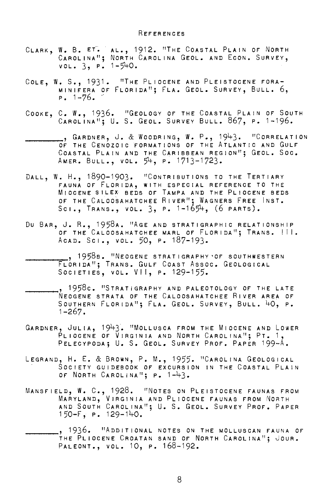- CLARK, W. B. ET. ^ AL., 1912. "THE COASTAL PLAIN OF NORTH CAROLINA"; NORTH CAROLINA GEOL. AND EcON. SURVEY,  $vol. 3, P. 1-540.$
- COLE, W. S., 1931. "THE PLIOCENE AND PLEISTOCENE FORA-MINIFERA OF FLORIDA"; FLA. GEOL. SURVEY, BULL. 6,  $P. 1 - 76.$
- COOKE, C. W., 1936. "GEOLOGY OF THE COASTAL PLAIN OF SOUTH<br>Carolina"; U. S. Geol. Survey Bull. 867, p. 1-196.
- -----, G A R D N E R , J & W 0 0 DR I N G , W P , 1 94 3 <sup>11</sup>C 0 R R E L A T I 0 <sup>N</sup> OF THE CENOZOIC FORMATIONS OF THE ATLANTIC AND GULF COASTAL PLAIN AND THE CARIBBEAN REGION"; GEOL. SOC. AMER. BULL., VOL.  $54$ , P. 1713-1723.
- DALL, W. H., 1890-1903. "CONTRIBUTIONS TO THE TERTIARY FAUNA OF FLORIDA, WITH ESPECIAL REFERENCE TO THE MIOCENE SILEX BEDS OF TAMPA AND THE PLIOCENE BEDS OF THE CALOOSAHATCHEE RIVER"; WAGNERS FREE INST. Sci., Trans., vol. 3, p. 1-1654, (6 parts).
- DU BAR, J. R., 1958A. "AGE AND STRATIGRAPHIC RELATIONSHIP OF THE CALOOSAHATCHEE MARL OF FLORIDA"; TRANS. III. ACAD. Sc1., VOL. 50, P. 187-193.
	- ., 1958 B. "NEOGENE STRATIGRAPHY OF SOUTHWESTERN FLORIDA"; TRANS. GuLF COAST Assoc. GEOLOGICAL SOCIETIES, VOL. VII, P. 129-155.
- ., 1958c. "STRATIGRAPHY AND PALEOTOLOGY OF THE LATE NEOGENE STRATA OF THE CALOOSAHATCHEE RIVER AREA OF SOUTHERN FLORIDA"; FLA. GEOL. SURVEY, BULL. 40, P. 1-267.
- GARDNER, JULIA, 1943. "MOLLUSCA FROM THE MIOCENE AND LOWER PLIOCENE OF VIRGINIA AND NORTH CAROLINA"; PT. 1, PELECYPODA; U. S. GEOL. SURVEY PROF. PAPER 199-A.
- LEGRAND, H. E. & BROWN, P. M., 1955. "CAROLINA GEOLOGICAL SOCIETY GUIDEBOOK OF EXCURSION IN THE COASTAL PLAIN OF NORTH CAROLINA"; P. 1-43.
- MANSFIELD, W. C., 1928. "NOTES ON PLEISTOCENE FAUNAS FROM MARYLAND, VIRGINIA AND PLIOCENE FAUNAS FROM NORTH<br>And South Carolina"; U. S. Geol. Survey Prof. Paper 150-F, P. 129-140.

. 1936. "ADDITIONAL NOTES ON THE MOLLUSCAN FAUNA OF THE PLIOCENE CROATAN SAND OF NORTH CAROLINA"; JOUR. PALEONT., VOL. 10, P. 168-192.